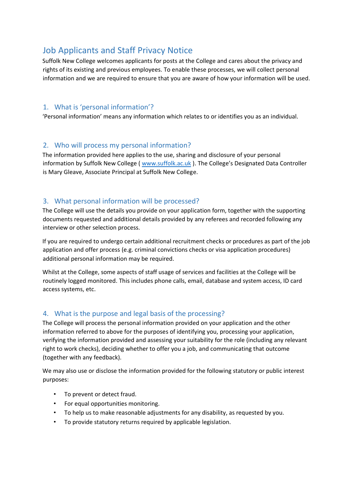# Job Applicants and Staff Privacy Notice

Suffolk New College welcomes applicants for posts at the College and cares about the privacy and rights of its existing and previous employees. To enable these processes, we will collect personal information and we are required to ensure that you are aware of how your information will be used.

## 1. What is 'personal information'?

'Personal information' means any information which relates to or identifies you as an individual.

# 2. Who will process my personal information?

The information provided here applies to the use, sharing and disclosure of your personal information by Suffolk New College ( [www.suffolk.ac.uk](http://www.suffolk.ac.uk/) [\)](http://www.suffolk.ac.uk/). The College's Designated Data Controller is Mary Gleave, Associate Principal at Suffolk New College.

# 3. What personal information will be processed?

The College will use the details you provide on your application form, together with the supporting documents requested and additional details provided by any referees and recorded following any interview or other selection process.

If you are required to undergo certain additional recruitment checks or procedures as part of the job application and offer process (e.g. criminal convictions checks or visa application procedures) additional personal information may be required.

Whilst at the College, some aspects of staff usage of services and facilities at the College will be routinely logged monitored. This includes phone calls, email, database and system access, ID card access systems, etc.

# 4. What is the purpose and legal basis of the processing?

The College will process the personal information provided on your application and the other information referred to above for the purposes of identifying you, processing your application, verifying the information provided and assessing your suitability for the role (including any relevant right to work checks), deciding whether to offer you a job, and communicating that outcome (together with any feedback).

We may also use or disclose the information provided for the following statutory or public interest purposes:

- To prevent or detect fraud.
- For equal opportunities monitoring.
- To help us to make reasonable adjustments for any disability, as requested by you.
- To provide statutory returns required by applicable legislation.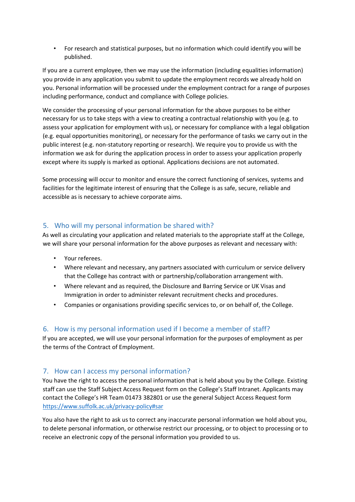• For research and statistical purposes, but no information which could identify you will be published.

If you are a current employee, then we may use the information (including equalities information) you provide in any application you submit to update the employment records we already hold on you. Personal information will be processed under the employment contract for a range of purposes including performance, conduct and compliance with College policies.

We consider the processing of your personal information for the above purposes to be either necessary for us to take steps with a view to creating a contractual relationship with you (e.g. to assess your application for employment with us), or necessary for compliance with a legal obligation (e.g. equal opportunities monitoring), or necessary for the performance of tasks we carry out in the public interest (e.g. non-statutory reporting or research). We require you to provide us with the information we ask for during the application process in order to assess your application properly except where its supply is marked as optional. Applications decisions are not automated.

Some processing will occur to monitor and ensure the correct functioning of services, systems and facilities for the legitimate interest of ensuring that the College is as safe, secure, reliable and accessible as is necessary to achieve corporate aims.

# 5. Who will my personal information be shared with?

As well as circulating your application and related materials to the appropriate staff at the College, we will share your personal information for the above purposes as relevant and necessary with:

- Your referees.
- Where relevant and necessary, any partners associated with curriculum or service delivery that the College has contract with or partnership/collaboration arrangement with.
- Where relevant and as required, the Disclosure and Barring Service or UK Visas and Immigration in order to administer relevant recruitment checks and procedures.
- Companies or organisations providing specific services to, or on behalf of, the College.

# 6. How is my personal information used if I become a member of staff?

If you are accepted, we will use your personal information for the purposes of employment as per the terms of the Contract of Employment.

# 7. How can I access my personal information?

You have the right to access the personal information that is held about you by the College. Existing staff can use the Staff Subject Access Request form on the College's Staff Intranet. Applicants may contact the College's HR Team 01473 382801 or use the general Subject Access Request form <https://www.suffolk.ac.uk/privacy-policy#sar>

You also have the right to ask us to correct any inaccurate personal information we hold about you, to delete personal information, or otherwise restrict our processing, or to object to processing or to receive an electronic copy of the personal information you provided to us.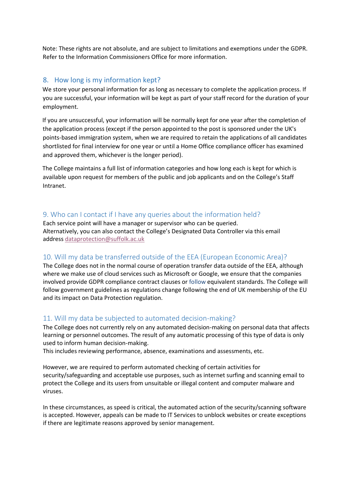Note: These rights are not absolute, and are subject to limitations and exemptions under the GDPR. Refer to the Information Commissioners Office for more information.

# 8. How long is my information kept?

We store your personal information for as long as necessary to complete the application process. If you are successful, your information will be kept as part of your staff record for the duration of your employment.

If you are unsuccessful, your information will be normally kept for one year after the completion of the application process (except if the person appointed to the post is sponsored under the UK's points-based immigration system, when we are required to retain the applications of all candidates shortlisted for final interview for one year or until a Home Office compliance officer has examined and approved them, whichever is the longer period).

The College maintains a full list of information categories and how long each is kept for which is available upon request for members of the public and job applicants and on the College's Staff Intranet.

# 9. Who can I contact if I have any queries about the information held?

Each service point will have a manager or supervisor who can be queried. Alternatively, you can also contact the College's Designated Data Controller via this email address [dataprotection@suffolk.ac.uk](mailto:dataprotection@suffolk.ac.uk)

#### 10. Will my data be transferred outside of the EEA (European Economic Area)?

The College does not in the normal course of operation transfer data outside of the EEA, although where we make use of cloud services such as Microsoft or Google, we ensure that the companies involved provide GDPR compliance contract clauses or follow equivalent standards. The College will follow government guidelines as regulations change following the end of UK membership of the EU and its impact on Data Protection regulation.

#### 11. Will my data be subjected to automated decision-making?

The College does not currently rely on any automated decision-making on personal data that affects learning or personnel outcomes. The result of any automatic processing of this type of data is only used to inform human decision-making.

This includes reviewing performance, absence, examinations and assessments, etc.

However, we are required to perform automated checking of certain activities for security/safeguarding and acceptable use purposes, such as internet surfing and scanning email to protect the College and its users from unsuitable or illegal content and computer malware and viruses.

In these circumstances, as speed is critical, the automated action of the security/scanning software is accepted. However, appeals can be made to IT Services to unblock websites or create exceptions if there are legitimate reasons approved by senior management.